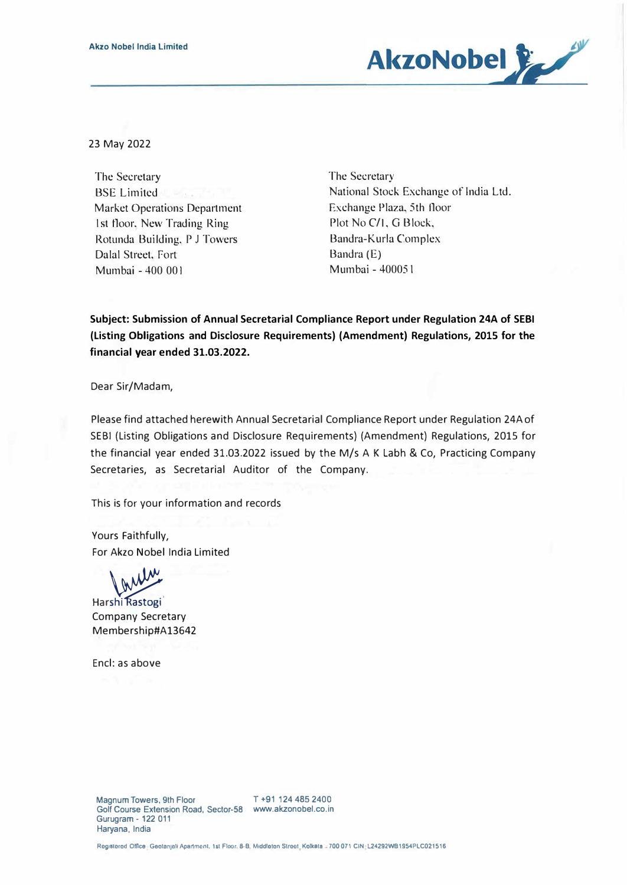

23 May 2022

The Secretary BSE Limited Market Operations Department 1st floor, New Trading Ring Rotunda Building, P J Towers Dalal Street, Fort Mumbai -400 001

The Secretary National Stock Exchange of India Ltd. Exchange Plaza. 5th floor Plot No C/1, G Block, Bandra-Kurla Complex Bandra (E) Mumbai - 40005 t

**Subject: Submission of Annual Secretarial Compliance Report under Regulation 24A of SEBI (Listing Obligations and Disclosure Requirements) (Amendment) Regulations, 2015 for the financial year ended 31.03.2022.** 

Dear Sir/Madam,

Please find attached herewith Annual Secretarial Compliance Report under Regulation 24Aof SEBI (Listing Obligations and Disclosure Requirements) (Amendment) Regulations, 2015 for the financial year ended 31.03.2022 issued by the M/s A K Labh & Co, Practicing Company Secretaries, as Secretarial Auditor of the Company.

This is for your information and records

Yours Faithfully, For Akzo Nobel India Limited

Harshi Rastogi Company Secretary Membership#A13642

Encl: as above

Registered Office Geotanjali Apartment, 1st Floor, 8-B, Middleton Street, Kolkata - 700 071 CIN L24292WB1954PLC021516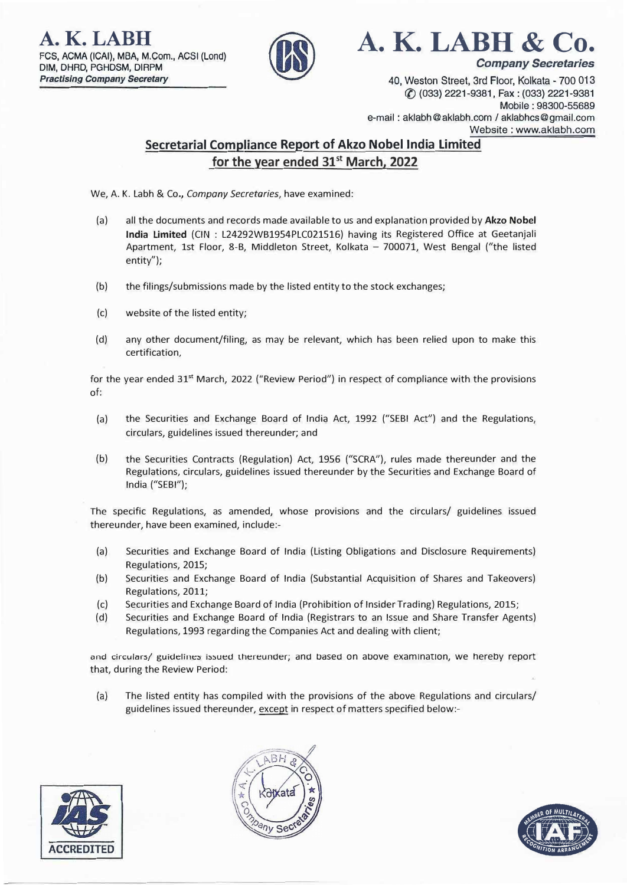**A. K. LABH**  FCS, ACMA (ICAI), MBA, M.Com., ACSI (Lond) **DIM,** DHRD, PGHDSM, DIRPM *Practising Company Secretary* 



**A. K. LABH & Co.** 

*Company Secretaries* 

40, Weston Street, 3rd Floor, Kolkata - 700 013 ({) (033) 2221-9381, Fax: (033) 2221-9381 Mobile : 98300-55689 e-mail: aklabh@aklabh.com / aklabhcs@gmail.com Website : www.aklabh.com

## **Secretarial Compliance Report of Akzo Nobel India Limited for the year ended 31st March, 2022**

We, A. K. Labh & Co., *Company Secretaries,* have examined:

- (a) all the documents and records made available to us and explanation provided by **Akzo Nobel India Limited** (CIN : L24292WB1954PLC021516) having its Registered Office at Geetanjali Apartment, 1st Floor, 8-B, Middleton Street, Kolkata - 700071, West Bengal ("the listed entity");
- (b) the filings/submissions made by the listed entity to the stock exchanges;
- (c) website of the listed entity;
- (d) any other document/filing, as may be relevant, which has been relied upon to make this certification,

for the year ended 31<sup>st</sup> March, 2022 ("Review Period") in respect of compliance with the provisions of:

- (a) the Securities and Exchange Board of India Act, 1992 ("SEBI Act") and the Regulations, circulars, guidelines issued thereunder; and
- (b) the Securities Contracts (Regulation) Act, 1956 ("SCRA"), rules made thereunder and the Regulations, circulars, guidelines issued thereunder by the Securities and Exchange Board of India ("SEBI");

The specific Regulations, as amended, whose provisions and the circulars/ guidelines issued thereunder, have been examined, include:-

- (a) Securities and Exchange Board of India (Listing Obligations and Disclosure Requirements) Regulations, 2015;
- (b) Securities and Exchange Board of India (Substantial Acquisition of Shares and Takeovers) Regulations, 2011;
- (c) Securities and Exchange Board of India (Prohibition of Insider Trading) Regulations, 2015;
- (d) Securities and Exchange Board of India (Registrars to an Issue and Share Transfer Agents) Regulations, 1993 regarding the Companies Act and dealing with client;

and circulars/ guidelines issued thereunder; and based on above examination, we hereby report that, during the Review Period:

(a) The listed entity has compiled with the provisions of the above Regulations and circulars/ guidelines issued thereunder, except in respect of matters specified below:-